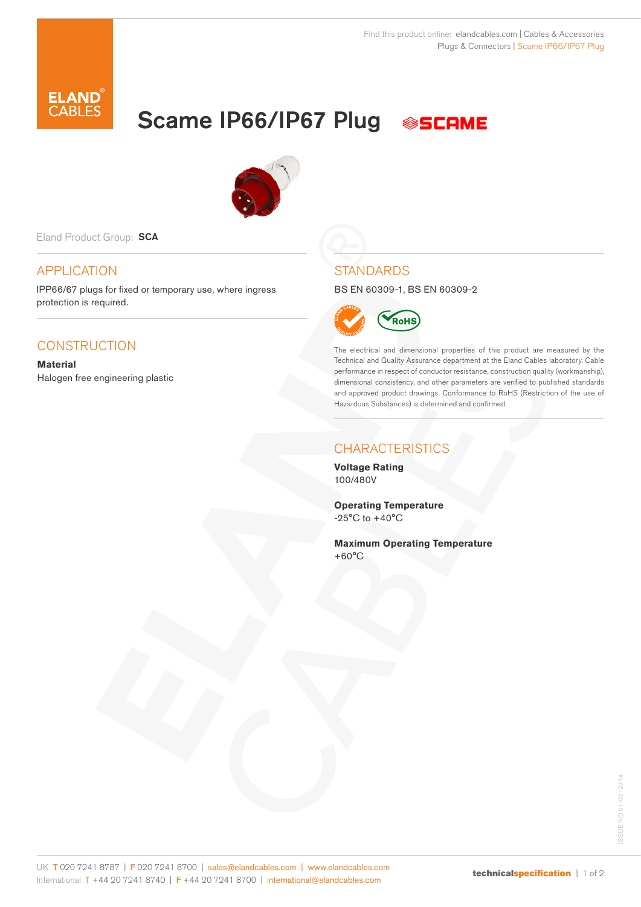

Scame IP66/IP67 Plug





Eland Product Group: SCA

## APPLICATION

IPP66/67 plugs for fixed or temporary use, where ingress protection is required.

## **CONSTRUCTION**

**Material** Halogen free engineering plastic **STANDARDS** 

BS EN 60309-1, BS EN 60309-2



The electrical and dimensional properties of this product are measured by the Technical and Quality Assurance department at the Eland Cables laboratory. Cable performance in respect of conductor resistance, construction quality (workmanship), dimensional consistency, and other parameters are verified to published standards and approved product drawings. Conformance to RoHS (Restriction of the use of Hazardous Substances) is determined and confirmed.

## **CHARACTERISTICS**

**Voltage Rating** 100/480V

**Operating Temperature** -25°C to +40°C

**Maximum Operating Temperature** +60°C